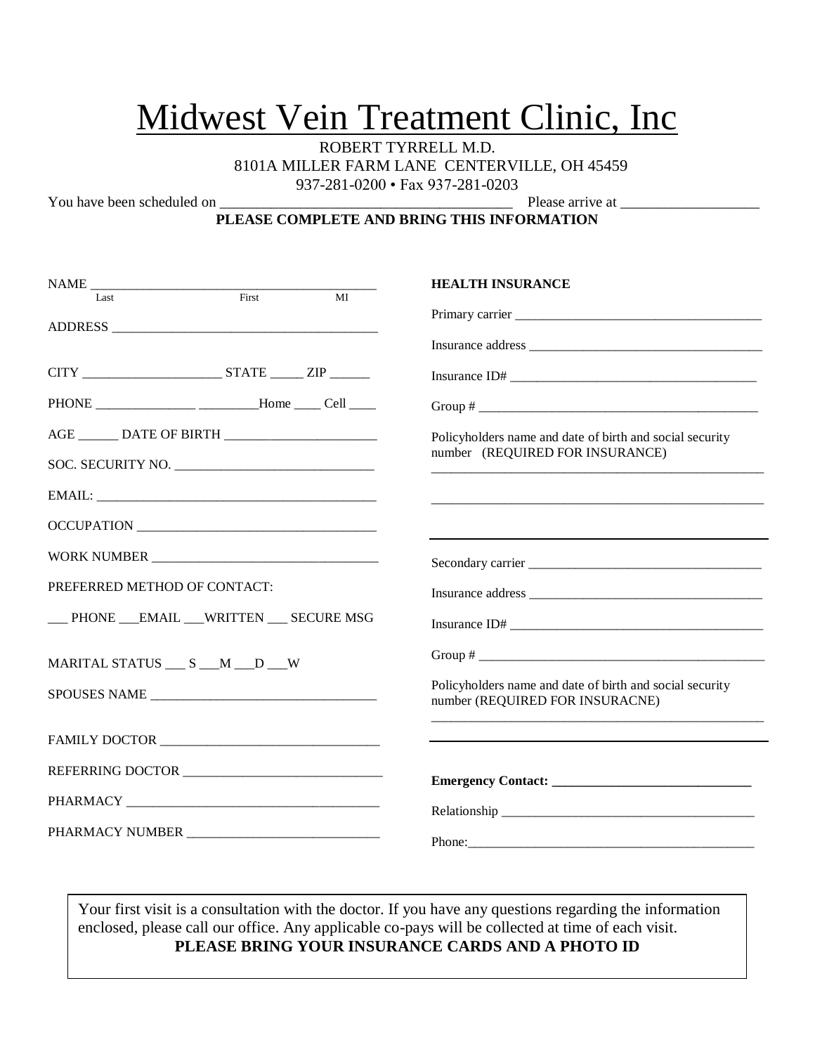# Midwest Vein Treatment Clinic, Inc

ROBERT TYRRELL M.D. 8101A MILLER FARM LANE CENTERVILLE, OH 45459 937-281-0200 • Fax 937-281-0203

You have been scheduled on \_\_\_\_\_\_\_\_\_\_\_\_\_\_\_\_\_\_\_\_\_\_\_\_\_\_\_\_\_\_\_\_\_\_\_\_\_\_\_\_ Please arrive at \_\_\_\_\_\_\_\_\_\_\_\_\_\_\_\_\_\_\_

#### **PLEASE COMPLETE AND BRING THIS INFORMATION**

| NAME                                                | <b>HEALTH INSURANCE</b>                                                                     |  |  |
|-----------------------------------------------------|---------------------------------------------------------------------------------------------|--|--|
| First<br>$\overline{MI}$<br>Last                    |                                                                                             |  |  |
|                                                     |                                                                                             |  |  |
|                                                     |                                                                                             |  |  |
|                                                     | Insurance ID# $\_$                                                                          |  |  |
| PHONE ________________ ________Home _____ Cell ____ |                                                                                             |  |  |
|                                                     | Policyholders name and date of birth and social security                                    |  |  |
| SOC. SECURITY NO.                                   | number (REQUIRED FOR INSURANCE)                                                             |  |  |
|                                                     |                                                                                             |  |  |
| OCCUPATION                                          |                                                                                             |  |  |
| WORK NUMBER                                         |                                                                                             |  |  |
| PREFERRED METHOD OF CONTACT:                        | Insurance address                                                                           |  |  |
| __ PHONE __EMAIL __WRITTEN __ SECURE MSG            | Insurance ID#                                                                               |  |  |
| MARITAL STATUS __ S __ M __ D __ W                  |                                                                                             |  |  |
| SPOUSES NAME                                        | Policyholders name and date of birth and social security<br>number (REQUIRED FOR INSURACNE) |  |  |
|                                                     |                                                                                             |  |  |
|                                                     |                                                                                             |  |  |
|                                                     |                                                                                             |  |  |
|                                                     |                                                                                             |  |  |

Your first visit is a consultation with the doctor. If you have any questions regarding the information enclosed, please call our office. Any applicable co-pays will be collected at time of each visit. **PLEASE BRING YOUR INSURANCE CARDS AND A PHOTO ID**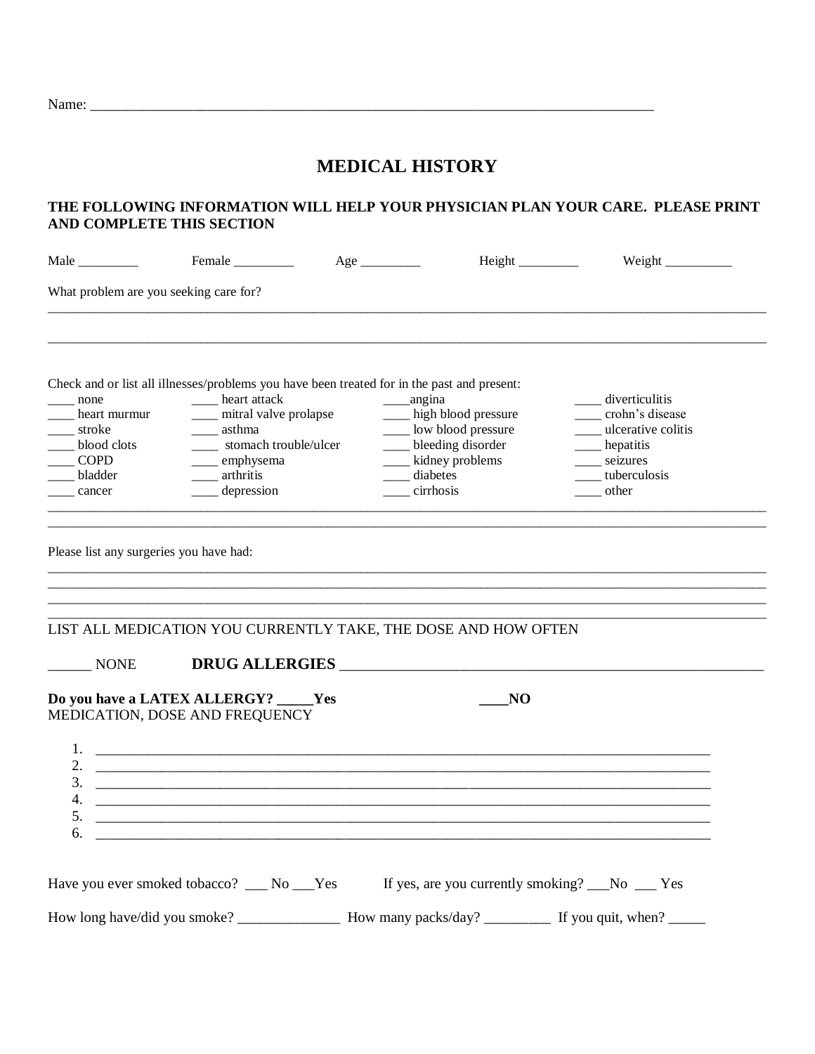Name: \_\_\_\_\_\_\_\_\_\_\_\_\_\_\_\_\_\_\_\_\_\_\_\_\_\_\_\_\_\_\_\_\_\_\_\_\_\_\_\_\_\_\_\_\_\_\_\_\_\_\_\_\_\_\_\_\_\_\_\_\_\_\_\_\_\_\_\_\_\_\_\_\_\_\_\_\_

# **MEDICAL HISTORY**

## **THE FOLLOWING INFORMATION WILL HELP YOUR PHYSICIAN PLAN YOUR CARE. PLEASE PRINT AND COMPLETE THIS SECTION**

| Male                                                                              | Female                                                                                                                                                                                                                                     |                                                              | Height _________                                                   |                                                                                                                              |
|-----------------------------------------------------------------------------------|--------------------------------------------------------------------------------------------------------------------------------------------------------------------------------------------------------------------------------------------|--------------------------------------------------------------|--------------------------------------------------------------------|------------------------------------------------------------------------------------------------------------------------------|
| What problem are you seeking care for?                                            |                                                                                                                                                                                                                                            |                                                              |                                                                    |                                                                                                                              |
| none<br>heart murmur<br>stroke<br>blood clots<br><b>COPD</b><br>bladder<br>cancer | Check and or list all illnesses/problems you have been treated for in the past and present:<br>___ heart attack<br>___ mitral valve prolapse<br>_____ asthma<br>stomach trouble/ulcer<br>____ emphysema<br>_____ arthritis<br>_ depression | ______angina<br>___ kidney problems<br>diabetes<br>cirrhosis | ___ high blood pressure<br>Low blood pressure<br>bleeding disorder | ____ diverticulitis<br>crohn's disease<br>___ ulcerative colitis<br>____ hepatitis<br>____ seizures<br>tuberculosis<br>other |
| Please list any surgeries you have had:                                           |                                                                                                                                                                                                                                            |                                                              |                                                                    |                                                                                                                              |
|                                                                                   | LIST ALL MEDICATION YOU CURRENTLY TAKE, THE DOSE AND HOW OFTEN                                                                                                                                                                             |                                                              |                                                                    |                                                                                                                              |
| <b>NONE</b>                                                                       | DRUG ALLERGIES                                                                                                                                                                                                                             |                                                              |                                                                    |                                                                                                                              |
|                                                                                   | Do you have a LATEX ALLERGY? _____Yes<br>MEDICATION, DOSE AND FREQUENCY                                                                                                                                                                    |                                                              | NO                                                                 |                                                                                                                              |
| 4.<br>5.<br>6.                                                                    |                                                                                                                                                                                                                                            |                                                              |                                                                    |                                                                                                                              |
|                                                                                   | Have you ever smoked tobacco? __ No __Yes If yes, are you currently smoking? __No __ Yes                                                                                                                                                   |                                                              |                                                                    |                                                                                                                              |
|                                                                                   |                                                                                                                                                                                                                                            |                                                              |                                                                    |                                                                                                                              |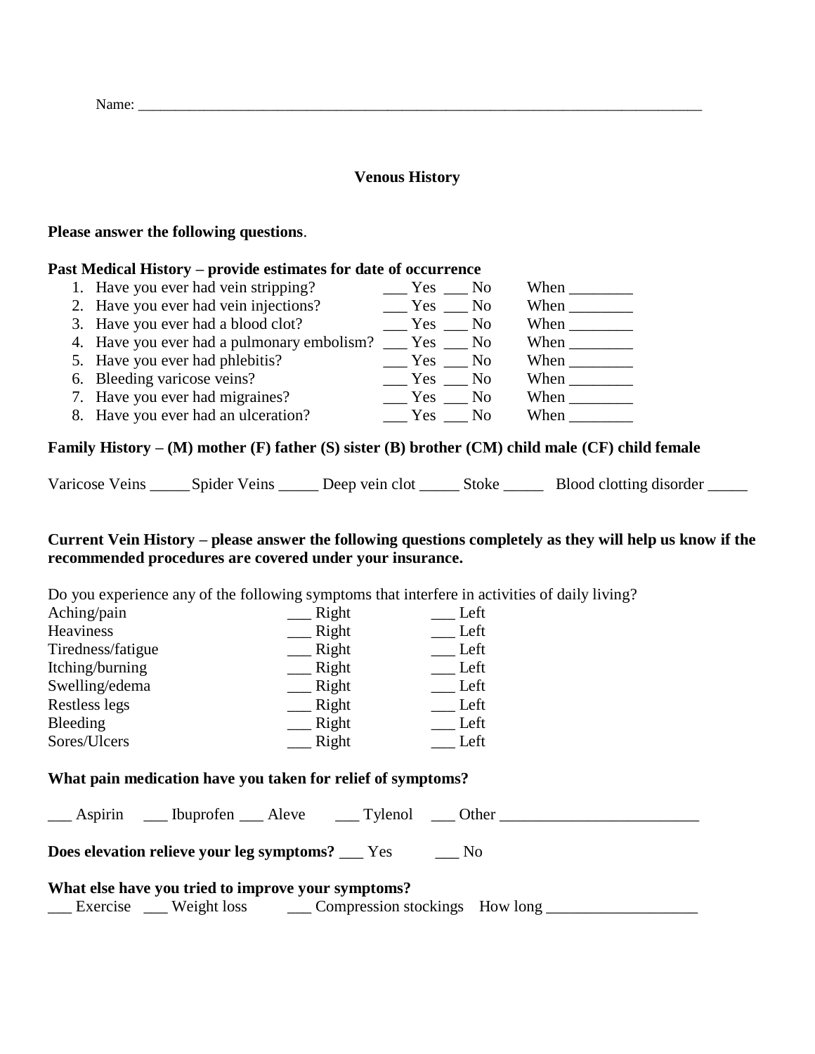| Name: |  |  |
|-------|--|--|
|       |  |  |

#### **Venous History**

#### **Please answer the following questions**.

#### **Past Medical History – provide estimates for date of occurrence**

| 1. Have you ever had vein stripping?       | $Yes$ No |                | When |
|--------------------------------------------|----------|----------------|------|
| 2. Have you ever had vein injections?      | Yes No   |                | When |
| 3. Have you ever had a blood clot?         | Yes No   |                | When |
| 4. Have you ever had a pulmonary embolism? | Yes No   |                | When |
| 5. Have you ever had phlebitis?            | Yes No   |                | When |
| 6. Bleeding varicose veins?                | Yes      | N <sub>0</sub> | When |
| 7. Have you ever had migraines?            | Yes No   |                | When |
| 8. Have you ever had an ulceration?        | Yes      | N <sub>0</sub> | When |

## **Family History – (M) mother (F) father (S) sister (B) brother (CM) child male (CF) child female**

Varicose Veins Spider Veins Deep vein clot Stoke Blood clotting disorder

## **Current Vein History – please answer the following questions completely as they will help us know if the recommended procedures are covered under your insurance.**

Do you experience any of the following symptoms that interfere in activities of daily living?

| Aching/pain       | Right | Left |
|-------------------|-------|------|
| Heaviness         | Right | Left |
| Tiredness/fatigue | Right | Left |
| Itching/burning   | Right | Left |
| Swelling/edema    | Right | Left |
| Restless legs     | Right | Left |
| Bleeding          | Right | Left |
| Sores/Ulcers      | Right | Left |

## **What pain medication have you taken for relief of symptoms?**

|                                                                                                           | <b>Does elevation relieve your leg symptoms?</b> ___ Yes |  |  | No. |  |
|-----------------------------------------------------------------------------------------------------------|----------------------------------------------------------|--|--|-----|--|
| What else have you tried to improve your symptoms?<br>Exercise Weight loss Compression stockings How long |                                                          |  |  |     |  |